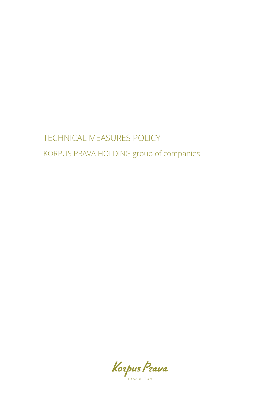# TECHNICAL MEASURES POLICY KORPUS PRAVA HOLDING group of companies

Korpus Prava LAW & TAX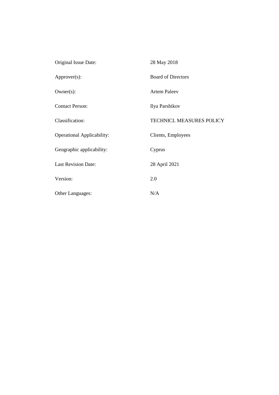| Original Issue Date:              | 28 May 2018                     |
|-----------------------------------|---------------------------------|
| Approver(s):                      | <b>Board of Directors</b>       |
| $Owner(s)$ :                      | <b>Artem Paleev</b>             |
| <b>Contact Person:</b>            | Ilya Parshikov                  |
| Classification:                   | <b>TECHNICL MEASURES POLICY</b> |
| <b>Operational Applicability:</b> | Clients, Employees              |
| Geographic applicability:         | Cyprus                          |
| <b>Last Revision Date:</b>        | 28 April 2021                   |
| Version:                          | 2.0                             |
|                                   |                                 |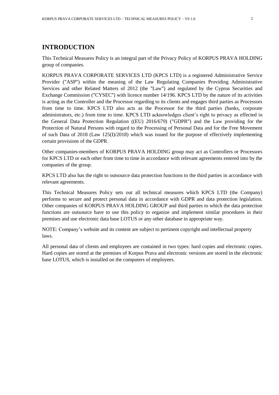## **INTRODUCTION**

This Technical Measures Policy is an integral part of the Privacy Policy of KORPUS PRAVA HOLDING group of companies.

KORPUS PRAVA CORPORATE SERVICES LTD (KPCS LTD) is a registered Administrative Service Provider ("ASP") within the meaning of the Law Regulating Companies Providing Administrative Services and other Related Matters of 2012 (the "Law") and regulated by the Cyprus Securities and Exchange Commission ("CYSEC") with licence number 14/196. KPCS LTD by the nature of its activities is acting as the Controller and the Processor regarding to its clients and engages third parties as Processors from time to time. KPCS LTD also acts as the Processor for the third parties (banks, corporate administrators, etc.) from time to time. KPCS LTD acknowledges client's right to privacy as effected in the General Data Protection Regulation ((EU) 2016/679) ("GDPR") and the Law providing for the Protection of Natural Persons with regard to the Processing of Personal Data and for the Free Movement of such Data of 2018 (Law 125(I)/2018) which was issued for the purpose of effectively implementing certain provisions of the GDPR.

Other companies-members of KORPUS PRAVA HOLDING group may act as Controllers or Processors for KPCS LTD or each other from time to time in accordance with relevant agreements entered into by the companies of the group.

KPCS LTD also has the right to outsource data protection functions to the third parties in accordance with relevant agreements.

This Technical Measures Policy sets out all technical measures which KPCS LTD (the Company) performs to secure and protect personal data in accordance with GDPR and data protection legislation. Other companies of KORPUS PRAVA HOLDING GROUP and third parties to which the data protection functions are outsource have to use this policy to organize and implement similar procedures in their premises and use electronic data base LOTUS or any other database in appropriate way.

NOTE: Company's website and its content are subject to pertinent copyright and intellectual property laws.

All personal data of clients and employees are contained in two types: hard copies and electronic copies. Hard copies are stored at the premises of Korpus Prava and electronic versions are stored in the electronic base LOTUS, which is installed on the computers of employees.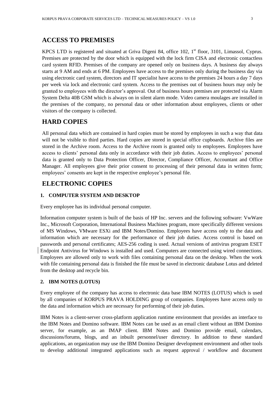## **ACCESS TO PREMISES**

KPCS LTD is registered and situated at Griva Digeni 84, office 102, 1<sup>st</sup> floor, 3101, Limassol, Cyprus. Premises are protected by the door which is equipped with the lock firm CISA and electronic contactless card system RFID. Premises of the company are opened only on business days. A business day always starts at 9 AM and ends at 6 PM. Employees have access to the premises only during the business day via using electronic card system, directors and IT specialist have access to the premises 24 hours a day 7 days per week via lock and electronic card system. Access to the premises out of business hours may only be granted to employees with the director's approval. Out of business hours premises are protected via Alarm System Delta 40B GSM which is always on in silent alarm mode. Video camera moulages are installed in the premises of the company, no personal data or other information about employees, clients or other visitors of the company is collected.

#### **HARD COPIES**

All personal data which are contained in hard copies must be stored by employees in such a way that data will not be visible to third parties. Hard copies are stored in special office cupboards. Archive files are stored in the Archive room. Access to the Archive room is granted only to employees. Employees have access to clients' personal data only in accordance with their job duties. Access to employees' personal data is granted only to Data Protection Officer, Director, Compliance Officer, Accountant and Office Manager. All employees give their prior consent to processing of their personal data in written form; employees' consents are kept in the respective employee's personal file.

## **ELECTRONIC COPIES**

#### **1. COMPUTER SYSTEM AND DESKTOP**

Every employee has its individual personal computer.

Information computer system is built of the basis of HP Inc. servers and the following software: VwWare Inc., Microsoft Corporation, International Business Machines program, more specifically different versions of MS Windows, VMware ESXi and IBM Notes/Domino. Employees have access only to the data and information which are necessary for the performance of their job duties. Access control is based on passwords and personal certificates; AES-256 coding is used. Actual versions of antivirus program ESET Endpoint Antivirus for Windows is installed and used. Computers are connected using wired connections. Employees are allowed only to work with files containing personal data on the desktop. When the work with file containing personal data is finished the file must be saved in electronic database Lotus and deleted from the desktop and recycle bin.

#### **2. IBM NOTES (LOTUS)**

Every employee of the company has access to electronic data base IBM NOTES (LOTUS) which is used by all companies of KORPUS PRAVA HOLDING group of companies. Employees have access only to the data and information which are necessary for performing of their job duties.

IBM Notes is a client-server cross-platform application runtime environment that provides an interface to the IBM Notes and Domino software. IBM Notes can be used as an email client without an IBM Domino server, for example, as an IMAP client. IBM Notes and Domino provide email, calendars, discussions/forums, blogs, and an inbuilt personnel/user directory. In addition to these standard applications, an organization may use the IBM Domino Designer development environment and other tools to develop additional integrated applications such as request approval / workflow and document